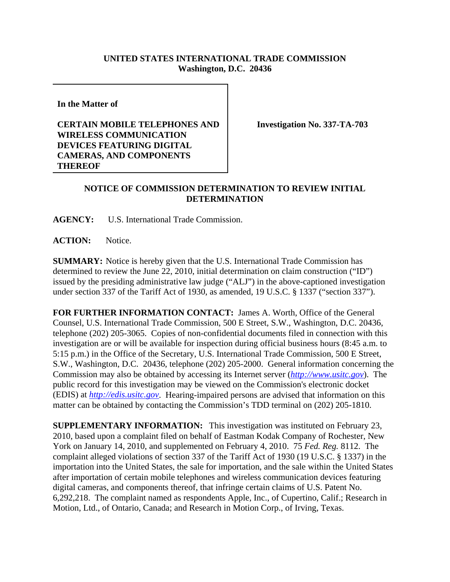## **UNITED STATES INTERNATIONAL TRADE COMMISSION Washington, D.C. 20436**

**In the Matter of** 

## **CERTAIN MOBILE TELEPHONES AND WIRELESS COMMUNICATION DEVICES FEATURING DIGITAL CAMERAS, AND COMPONENTS THEREOF**

**Investigation No. 337-TA-703**

## **NOTICE OF COMMISSION DETERMINATION TO REVIEW INITIAL DETERMINATION**

**AGENCY:** U.S. International Trade Commission.

**ACTION:** Notice.

**SUMMARY:** Notice is hereby given that the U.S. International Trade Commission has determined to review the June 22, 2010, initial determination on claim construction ("ID") issued by the presiding administrative law judge ("ALJ") in the above-captioned investigation under section 337 of the Tariff Act of 1930, as amended, 19 U.S.C. § 1337 ("section 337").

**FOR FURTHER INFORMATION CONTACT:** James A. Worth, Office of the General Counsel, U.S. International Trade Commission, 500 E Street, S.W., Washington, D.C. 20436, telephone (202) 205-3065. Copies of non-confidential documents filed in connection with this investigation are or will be available for inspection during official business hours (8:45 a.m. to 5:15 p.m.) in the Office of the Secretary, U.S. International Trade Commission, 500 E Street, S.W., Washington, D.C. 20436, telephone (202) 205-2000. General information concerning the Commission may also be obtained by accessing its Internet server (*http://www.usitc.gov*). The public record for this investigation may be viewed on the Commission's electronic docket (EDIS) at *http://edis.usitc.gov*. Hearing-impaired persons are advised that information on this matter can be obtained by contacting the Commission's TDD terminal on (202) 205-1810.

**SUPPLEMENTARY INFORMATION:** This investigation was instituted on February 23, 2010, based upon a complaint filed on behalf of Eastman Kodak Company of Rochester, New York on January 14, 2010, and supplemented on February 4, 2010. 75 *Fed. Reg.* 8112. The complaint alleged violations of section 337 of the Tariff Act of 1930 (19 U.S.C. § 1337) in the importation into the United States, the sale for importation, and the sale within the United States after importation of certain mobile telephones and wireless communication devices featuring digital cameras, and components thereof, that infringe certain claims of U.S. Patent No. 6,292,218. The complaint named as respondents Apple, Inc., of Cupertino, Calif.; Research in Motion, Ltd., of Ontario, Canada; and Research in Motion Corp., of Irving, Texas.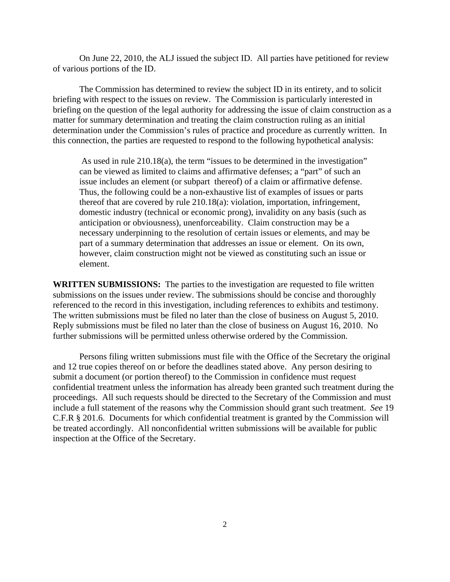On June 22, 2010, the ALJ issued the subject ID. All parties have petitioned for review of various portions of the ID.

The Commission has determined to review the subject ID in its entirety, and to solicit briefing with respect to the issues on review. The Commission is particularly interested in briefing on the question of the legal authority for addressing the issue of claim construction as a matter for summary determination and treating the claim construction ruling as an initial determination under the Commission's rules of practice and procedure as currently written. In this connection, the parties are requested to respond to the following hypothetical analysis:

 As used in rule 210.18(a), the term "issues to be determined in the investigation" can be viewed as limited to claims and affirmative defenses; a "part" of such an issue includes an element (or subpart thereof) of a claim or affirmative defense. Thus, the following could be a non-exhaustive list of examples of issues or parts thereof that are covered by rule 210.18(a): violation, importation, infringement, domestic industry (technical or economic prong), invalidity on any basis (such as anticipation or obviousness), unenforceability. Claim construction may be a necessary underpinning to the resolution of certain issues or elements, and may be part of a summary determination that addresses an issue or element. On its own, however, claim construction might not be viewed as constituting such an issue or element.

**WRITTEN SUBMISSIONS:** The parties to the investigation are requested to file written submissions on the issues under review. The submissions should be concise and thoroughly referenced to the record in this investigation, including references to exhibits and testimony. The written submissions must be filed no later than the close of business on August 5, 2010. Reply submissions must be filed no later than the close of business on August 16, 2010. No further submissions will be permitted unless otherwise ordered by the Commission.

Persons filing written submissions must file with the Office of the Secretary the original and 12 true copies thereof on or before the deadlines stated above. Any person desiring to submit a document (or portion thereof) to the Commission in confidence must request confidential treatment unless the information has already been granted such treatment during the proceedings. All such requests should be directed to the Secretary of the Commission and must include a full statement of the reasons why the Commission should grant such treatment. *See* 19 C.F.R § 201.6. Documents for which confidential treatment is granted by the Commission will be treated accordingly. All nonconfidential written submissions will be available for public inspection at the Office of the Secretary.